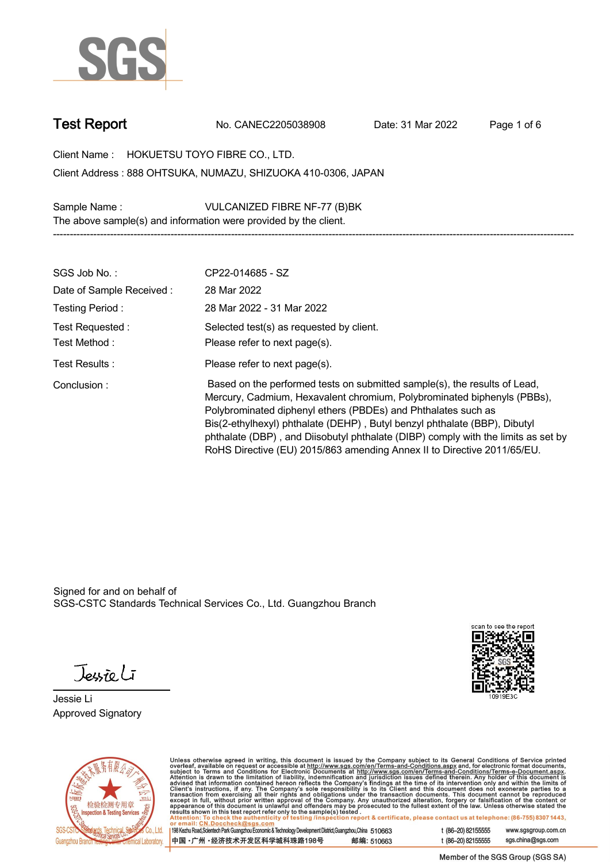

**Test Report. No. CANEC2205038908 . Date: 31 Mar 2022 . Page 1 of 6.**

**Client Name : HOKUETSU TOYO FIBRE CO., LTD. . 888 OHTSUKA, NUMAZU, SHIZUOKA 410-0306, JAPAN . Client Address :**

**Sample Name : VULCANIZED FIBRE NF-77 (B)BK . The above sample(s) and information were provided by the client.**

| SGS Job No.:                     | CP22-014685 - SZ                                                                                                                                                                                                                                                                                                                                                                                                                                                   |
|----------------------------------|--------------------------------------------------------------------------------------------------------------------------------------------------------------------------------------------------------------------------------------------------------------------------------------------------------------------------------------------------------------------------------------------------------------------------------------------------------------------|
| Date of Sample Received:         | 28 Mar 2022                                                                                                                                                                                                                                                                                                                                                                                                                                                        |
| Testing Period:                  | 28 Mar 2022 - 31 Mar 2022                                                                                                                                                                                                                                                                                                                                                                                                                                          |
| Test Requested :<br>Test Method: | Selected test(s) as requested by client.<br>Please refer to next page(s).                                                                                                                                                                                                                                                                                                                                                                                          |
| Test Results:                    | Please refer to next page(s).                                                                                                                                                                                                                                                                                                                                                                                                                                      |
| Conclusion:                      | Based on the performed tests on submitted sample(s), the results of Lead,<br>Mercury, Cadmium, Hexavalent chromium, Polybrominated biphenyls (PBBs),<br>Polybrominated diphenyl ethers (PBDEs) and Phthalates such as<br>Bis(2-ethylhexyl) phthalate (DEHP), Butyl benzyl phthalate (BBP), Dibutyl<br>phthalate (DBP), and Diisobutyl phthalate (DIBP) comply with the limits as set by<br>RoHS Directive (EU) 2015/863 amending Annex II to Directive 2011/65/EU. |

**-----------------------------------------------------------------------------------------------------------------------------------------------------------**

Signed for and on behalf of SGS-CSTC Standards Technical Services Co., Ltd. Guangzhou Branch.

Jessieli

**Jessie Li. Approved Signatory .**





Unless otherwise agreed in writing, this document is issued by the Company subject to its General Conditions of Service printed<br>overleaf, available on request or accessible at http://www.sgs.com/en/Terms-and-Conditions.as

| 198 Kezhu Road,Scientech Park Guangzhou Economic & Technology Development District,Guangzhou,China 510663 |            |
|-----------------------------------------------------------------------------------------------------------|------------|
| 中国 •广州 •经济技术开发区科学城科珠路198号 ;                                                                               | 邮编: 510663 |

t (86-20) 82155555 www.sgsgroup.com.cn sgs.china@sgs.com t (86-20) 82155555

Member of the SGS Group (SGS SA)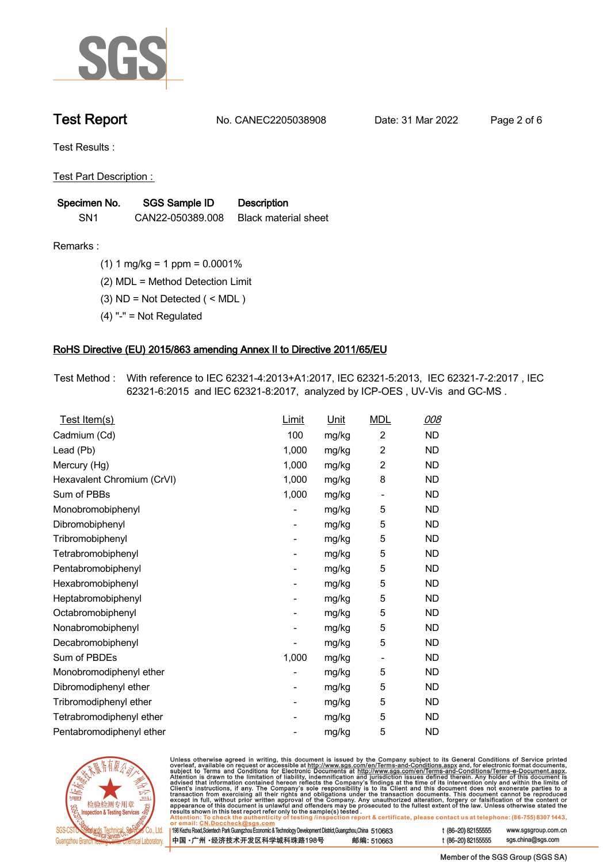

**Test Report. No. CANEC2205038908 . Date: 31 Mar 2022 . Page 2 of 6.**

**Test Results :.**

**Test Part Description : .**

| Specimen No.    | SGS Sample ID    | <b>Description</b>          |
|-----------------|------------------|-----------------------------|
| SN <sub>1</sub> | CAN22-050389.008 | <b>Black material sheet</b> |

- **Remarks :.(1) 1 mg/kg = 1 ppm = 0.0001% .**
	- **(2) MDL = Method Detection Limit .**
	- **(3) ND = Not Detected ( < MDL ) .**
	- **(4) "-" = Not Regulated .**

## **RoHS Directive (EU) 2015/863 amending Annex II to Directive 2011/65/EU.**

**Test Method :. With reference to IEC 62321-4:2013+A1:2017, IEC 62321-5:2013, IEC 62321-7-2:2017 , IEC 62321-6:2015 and IEC 62321-8:2017, analyzed by ICP-OES , UV-Vis and GC-MS . .**

| Test Item(s)               | <b>Limit</b> | <u>Unit</u> | <b>MDL</b>                   | 008       |
|----------------------------|--------------|-------------|------------------------------|-----------|
| Cadmium (Cd)               | 100          | mg/kg       | $\overline{c}$               | <b>ND</b> |
| Lead (Pb)                  | 1,000        | mg/kg       | $\overline{2}$               | <b>ND</b> |
| Mercury (Hg)               | 1,000        | mg/kg       | $\overline{2}$               | <b>ND</b> |
| Hexavalent Chromium (CrVI) | 1,000        | mg/kg       | 8                            | <b>ND</b> |
| Sum of PBBs                | 1,000        | mg/kg       | $\overline{\phantom{0}}$     | <b>ND</b> |
| Monobromobiphenyl          |              | mg/kg       | 5                            | <b>ND</b> |
| Dibromobiphenyl            | -            | mg/kg       | 5                            | <b>ND</b> |
| Tribromobiphenyl           | -            | mg/kg       | 5                            | <b>ND</b> |
| Tetrabromobiphenyl         |              | mg/kg       | 5                            | <b>ND</b> |
| Pentabromobiphenyl         | -            | mg/kg       | 5                            | <b>ND</b> |
| Hexabromobiphenyl          |              | mg/kg       | 5                            | <b>ND</b> |
| Heptabromobiphenyl         |              | mg/kg       | 5                            | <b>ND</b> |
| Octabromobiphenyl          | -            | mg/kg       | 5                            | <b>ND</b> |
| Nonabromobiphenyl          |              | mg/kg       | 5                            | <b>ND</b> |
| Decabromobiphenyl          |              | mg/kg       | 5                            | <b>ND</b> |
| Sum of PBDEs               | 1,000        | mg/kg       | $\qquad \qquad \blacksquare$ | <b>ND</b> |
| Monobromodiphenyl ether    |              | mg/kg       | 5                            | <b>ND</b> |
| Dibromodiphenyl ether      |              | mg/kg       | 5                            | <b>ND</b> |
| Tribromodiphenyl ether     | -            | mg/kg       | 5                            | <b>ND</b> |
| Tetrabromodiphenyl ether   |              | mg/kg       | 5                            | <b>ND</b> |
| Pentabromodiphenyl ether   |              | mg/kg       | 5                            | <b>ND</b> |



Unless otherwise agreed in writing, this document is issued by the Company subject to its General Conditions of Service printed overleaf, available on request or accessible at http://www.sgs.com/en/Terms-and-Conditions.as

| or email: CN.Doccheck@sgs.com                                                                                |            |                    |                     |
|--------------------------------------------------------------------------------------------------------------|------------|--------------------|---------------------|
| 198 Kezhu Road, Scientech Park Guangzhou Economic & Technology Development District, Guangzhou, China 510663 |            | t (86-20) 82155555 | www.sgsgroup.com.cl |
| ┃中国 •广州 •经济技术开发区科学城科珠路198号 ↓                                                                                 | 邮编: 510663 | t (86-20) 82155555 | sgs.china@sgs.com   |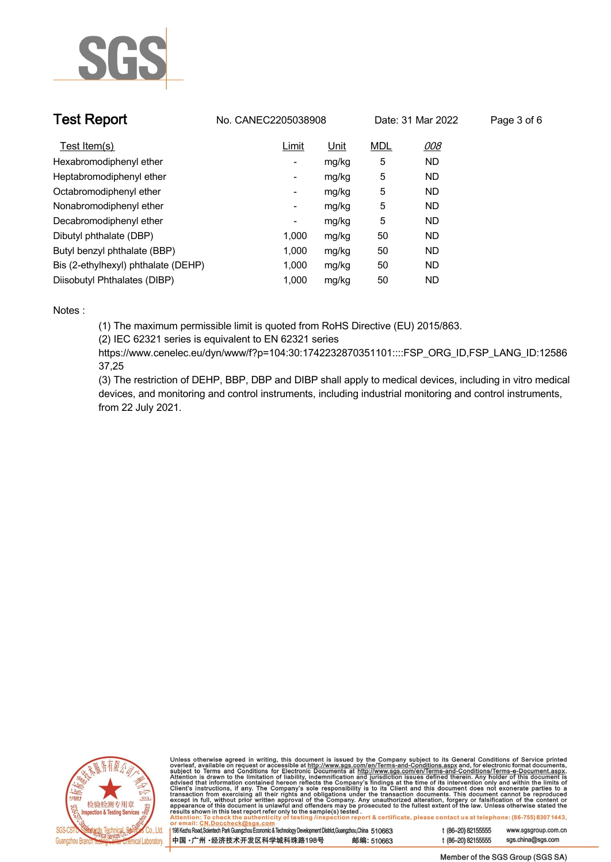

| <b>Test Report</b>                  | No. CANEC2205038908      |             |            | Date: 31 Mar 2022 | Page 3 of 6 |
|-------------------------------------|--------------------------|-------------|------------|-------------------|-------------|
| Test Item(s)                        | Limit                    | <u>Unit</u> | <b>MDL</b> | <u>008</u>        |             |
| Hexabromodiphenyl ether             | ٠                        | mg/kg       | 5          | <b>ND</b>         |             |
| Heptabromodiphenyl ether            | ٠                        | mg/kg       | 5          | <b>ND</b>         |             |
| Octabromodiphenyl ether             | $\overline{\phantom{a}}$ | mg/kg       | 5          | <b>ND</b>         |             |
| Nonabromodiphenyl ether             | $\overline{\phantom{a}}$ | mg/kg       | 5          | <b>ND</b>         |             |
| Decabromodiphenyl ether             | -                        | mg/kg       | 5          | <b>ND</b>         |             |
| Dibutyl phthalate (DBP)             | 1.000                    | mg/kg       | 50         | <b>ND</b>         |             |
| Butyl benzyl phthalate (BBP)        | 1.000                    | mg/kg       | 50         | <b>ND</b>         |             |
| Bis (2-ethylhexyl) phthalate (DEHP) | 1.000                    | mg/kg       | 50         | <b>ND</b>         |             |
| Diisobutyl Phthalates (DIBP)        | 1.000                    | mg/kg       | 50         | ND                |             |

### **Notes :.**

**(1) The maximum permissible limit is quoted from RoHS Directive (EU) 2015/863.**

**(2) IEC 62321 series is equivalent to EN 62321 series**

**https://www.cenelec.eu/dyn/www/f?p=104:30:1742232870351101::::FSP\_ORG\_ID,FSP\_LANG\_ID:12586 37,25**

**(3) The restriction of DEHP, BBP, DBP and DIBP shall apply to medical devices, including in vitro medical devices, and monitoring and control instruments, including industrial monitoring and control instruments, from 22 July 2021..**



Unless otherwise agreed in writing, this document is issued by the Company subject to its General Conditions of Service printed<br>overleaf, available on request or accessible at http://www.sgs.com/en/Terms-and-Conditions.as

| 198 Kezhu Road,Scientech Park Guangzhou Economic & Technology Development District,Guangzhou,China 510663 |            |  |
|-----------------------------------------------------------------------------------------------------------|------------|--|
| 中国 •广州 •经济技术开发区科学城科珠路198号                                                                                 | 邮编: 510663 |  |

www.sgsgroup.com.cn

t (86-20) 82155555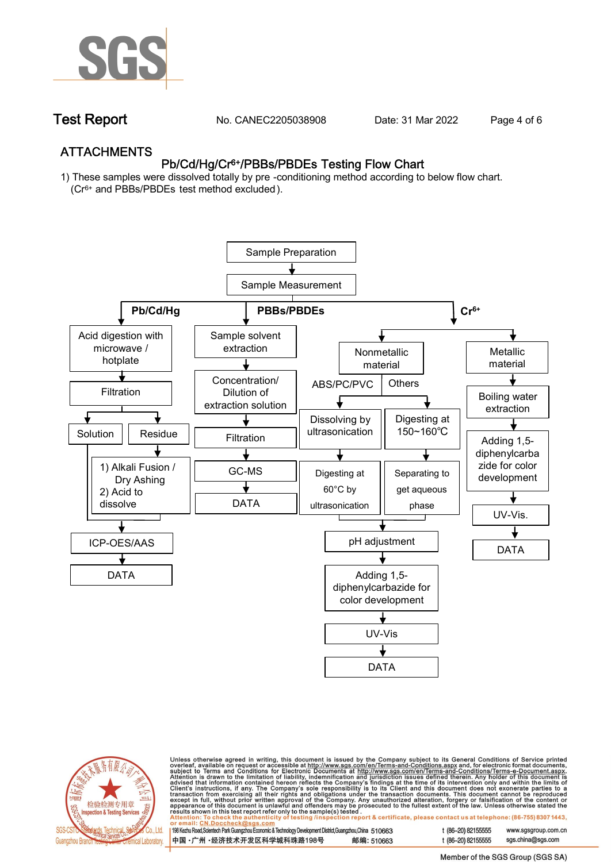

**Test Report. No. CANEC2205038908 . Date: 31 Mar 2022 . Page 4 of 6.**

## **ATTACHMENTS Pb/Cd/Hg/Cr6+/PBBs/PBDEs Testing Flow Chart**

**1) These samples were dissolved totally by pre -conditioning method according to below flow chart. (Cr6+ and PBBs/PBDEs test method excluded ).**





Unless otherwise agreed in writing, this document is issued by the Company subject to its General Conditions of Service printed<br>overleaf, available on request or accessible at <u>http://www.sgs.com/en/Terms-and-Conditions.a</u>

| 198 Kezhu Road,Scientech Park Guangzhou Economic & Technology Development District,Guangzhou,China 510663 |            |
|-----------------------------------------------------------------------------------------------------------|------------|
| 中国 •广州 •经济技术开发区科学城科珠路198号                                                                                 | 邮编: 510663 |

t (86-20) 82155555 www.sgsgroup.com.cn t (86-20) 82155555 sas.china@sas.com

Member of the SGS Group (SGS SA)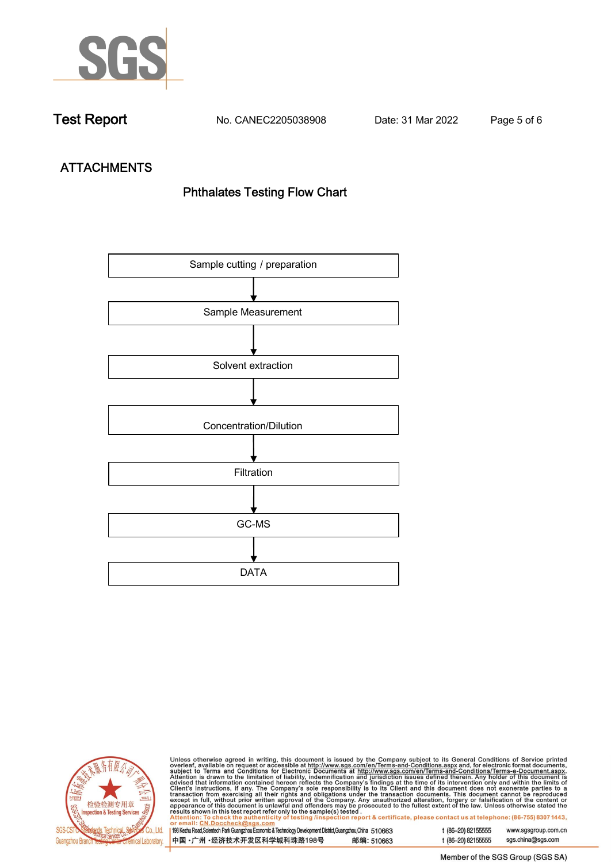

**Test Report. No. CANEC2205038908 . Date: 31 Mar 2022 . Page 5 of 6.**

# **ATTACHMENTS Phthalates Testing Flow Chart**





Unless otherwise agreed in writing, this document is issued by the Company subject to its General Conditions of Service printed overleaf, available on request or accessible at http://www.sgs.com/en/Terms-and-Conditions.as

| or email: CN.Doccheck@sus.com                                                                                |            |  |
|--------------------------------------------------------------------------------------------------------------|------------|--|
|                                                                                                              |            |  |
| 198 Kezhu Road, Scientech Park Guangzhou Economic & Technology Development District, Guangzhou, China 510663 |            |  |
|                                                                                                              |            |  |
| 中国 •广州 •经济技术开发区科学城科珠路198号                                                                                    | 邮编: 510663 |  |
|                                                                                                              |            |  |

t (86-20) 82155555 www.sgsgroup.com.cn t (86-20) 82155555 sgs.china@sgs.com